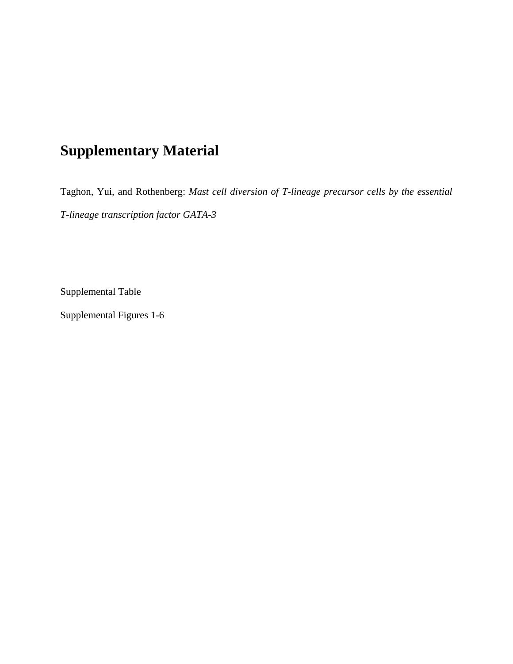# **Supplementary Material**

Taghon, Yui, and Rothenberg: *Mast cell diversion of T-lineage precursor cells by the essential T-lineage transcription factor GATA-3* 

Supplemental Table

Supplemental Figures 1-6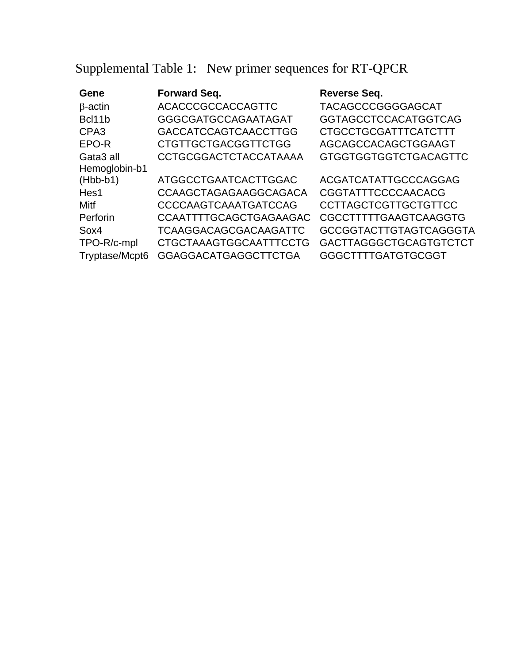Supplemental Table 1: New primer sequences for RT-QPCR

| Gene                  | <b>Forward Seq.</b>           | <b>Reverse Seq.</b>           |
|-----------------------|-------------------------------|-------------------------------|
| $\beta$ -actin        | <b>ACACCCGCCACCAGTTC</b>      | <b>TACAGCCCGGGGAGCAT</b>      |
| Bcl11b                | GGGCGATGCCAGAATAGAT           | <b>GGTAGCCTCCACATGGTCAG</b>   |
| CPA <sub>3</sub>      | <b>GACCATCCAGTCAACCTTGG</b>   | <b>CTGCCTGCGATTTCATCTTT</b>   |
| EPO-R                 | <b>CTGTTGCTGACGGTTCTGG</b>    | AGCAGCCACAGCTGGAAGT           |
| Gata <sub>3</sub> all | <b>CCTGCGGACTCTACCATAAAA</b>  | <b>GTGGTGGTGGTCTGACAGTTC</b>  |
| Hemoglobin-b1         |                               |                               |
| $(Hbb-b1)$            | <b>ATGGCCTGAATCACTTGGAC</b>   | <b>ACGATCATATTGCCCAGGAG</b>   |
| Hes1                  | <b>CCAAGCTAGAGAAGGCAGACA</b>  | CGGTATTTCCCCAACACG            |
| Mitf                  | CCCCAAGTCAAATGATCCAG          | <b>CCTTAGCTCGTTGCTGTTCC</b>   |
| Perforin              | CCAATTTTGCAGCTGAGAAGAC        | CGCCTTTTTGAAGTCAAGGTG         |
| Sox4                  | <b>TCAAGGACAGCGACAAGATTC</b>  | <b>GCCGGTACTTGTAGTCAGGGTA</b> |
| TPO-R/c-mpl           | <b>CTGCTAAAGTGGCAATTTCCTG</b> | GACTTAGGGCTGCAGTGTCTCT        |
| Tryptase/Mcpt6        | <b>GGAGGACATGAGGCTTCTGA</b>   | <b>GGGCTTTTGATGTGCGGT</b>     |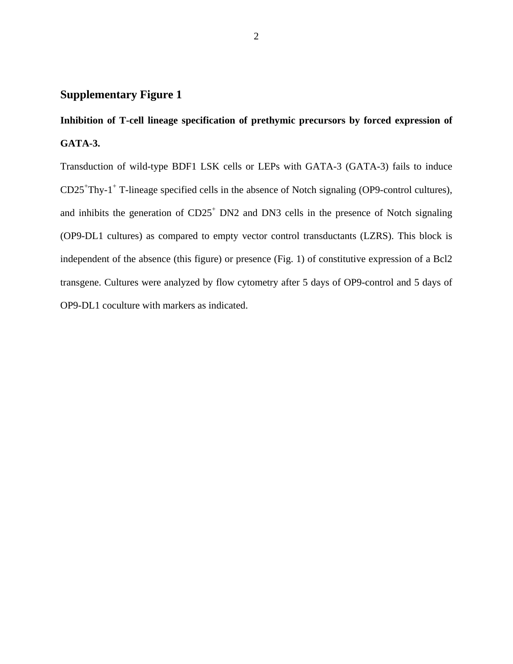## **Inhibition of T-cell lineage specification of prethymic precursors by forced expression of GATA-3.**

Transduction of wild-type BDF1 LSK cells or LEPs with GATA-3 (GATA-3) fails to induce CD25<sup>+</sup>Thy-1<sup>+</sup> T-lineage specified cells in the absence of Notch signaling (OP9-control cultures), and inhibits the generation of  $CD25<sup>+</sup> DN2$  and DN3 cells in the presence of Notch signaling (OP9-DL1 cultures) as compared to empty vector control transductants (LZRS). This block is independent of the absence (this figure) or presence (Fig. 1) of constitutive expression of a Bcl2 transgene. Cultures were analyzed by flow cytometry after 5 days of OP9-control and 5 days of OP9-DL1 coculture with markers as indicated.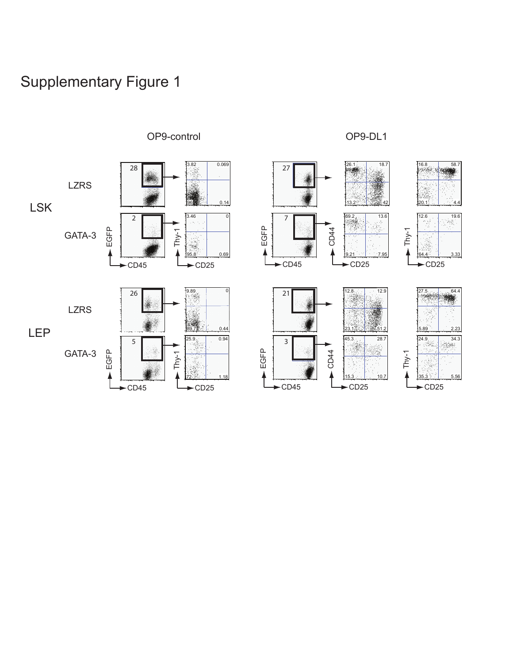

OP9-control OP9-DL1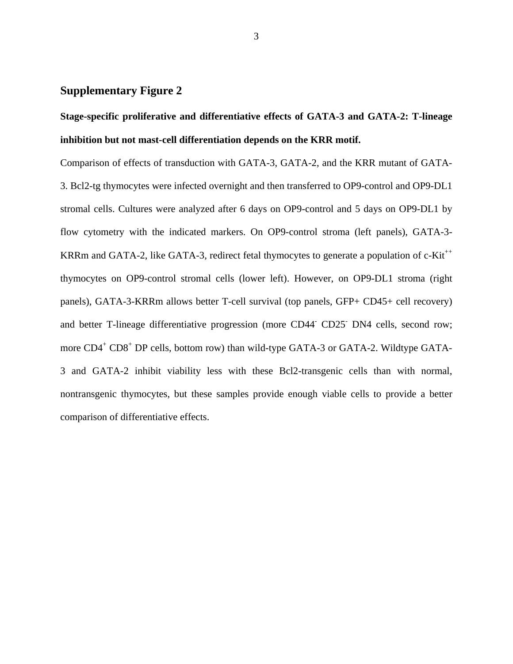## **Stage-specific proliferative and differentiative effects of GATA-3 and GATA-2: T-lineage inhibition but not mast-cell differentiation depends on the KRR motif.**

Comparison of effects of transduction with GATA-3, GATA-2, and the KRR mutant of GATA-3. Bcl2-tg thymocytes were infected overnight and then transferred to OP9-control and OP9-DL1 stromal cells. Cultures were analyzed after 6 days on OP9-control and 5 days on OP9-DL1 by flow cytometry with the indicated markers. On OP9-control stroma (left panels), GATA-3- KRRm and GATA-2, like GATA-3, redirect fetal thymocytes to generate a population of  $c$ -Kit<sup>++</sup> thymocytes on OP9-control stromal cells (lower left). However, on OP9-DL1 stroma (right panels), GATA-3-KRRm allows better T-cell survival (top panels, GFP+ CD45+ cell recovery) and better T-lineage differentiative progression (more CD44<sup>-</sup> CD25<sup>-</sup> DN4 cells, second row; more CD4<sup>+</sup> CD8<sup>+</sup> DP cells, bottom row) than wild-type GATA-3 or GATA-2. Wildtype GATA-3 and GATA-2 inhibit viability less with these Bcl2-transgenic cells than with normal, nontransgenic thymocytes, but these samples provide enough viable cells to provide a better comparison of differentiative effects.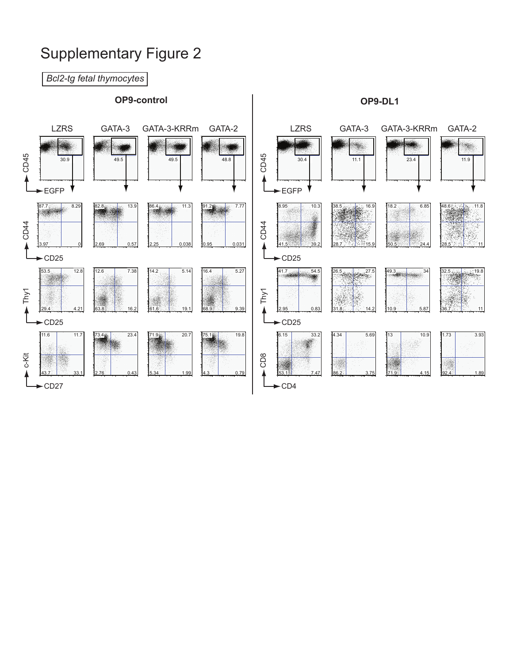*Bcl2-tg fetal thymocytes* **OP9-control OP9-DL1** LZRS GATA-3 GATA-3-KRRm GATA-2 LZRS GATA-3 GATA-3-KRRm GATA-2D45 D45 30.9 1 1 49.5 1 3 49.5 1 48.8 30.4 | 1 11.1 | 1 23.4 | 1 11.9  $\circ$  $\circ$ EGFP Y EGFP 86.4 11.3 87.7 8.29 82.8 13.9 91.2 7.77 8.95 10.3 38.5 and the 16.9 18.2 6.85 48.6 11.8 D44 D44 ŋ  $\circ$  $\circ$ 0.95 0.031 0.57  $0.038$ A 3.97 0 41.5 39.2 28.7 15.9 50.5 24.4 28.5 **11** 11  $-CD25$  $-CD25$ 41.7 54.5 53.5 12.8 12.6 7.38  $14.2$  5.14  $16.4$  5.27  $32.5$  19.8 26.5 27.5 49.3 34  $\blacktriangleright$  Thy1 Thy1  $68.9$  9.39  $\ddagger$ 61.6 19.1 2.95 0.83 10.9 5.87 63.8 16.2  $29.4$  4.2 14.2 36.7 11  $\blacktriangleright$ CD25  $\sim$ CD25 11.6 11.7 71.9 20.7  $75.1$   $\frac{1}{2}$  19.8 6.15 33.2 1.73 3.93 73.4 23.4 4.34 5.69 13 10.9 ya, c-Kit  $_{\scriptscriptstyle \mathsf{2}}^{\scriptscriptstyle \mathsf{8}}$ S.  $\circ$ 2.76 0.43 0.79 53.1 7.47 92.4 1.89 143.7 33. 5.34 1.99 86.2 3.75 71.9 4.15  $-CD27$ CD4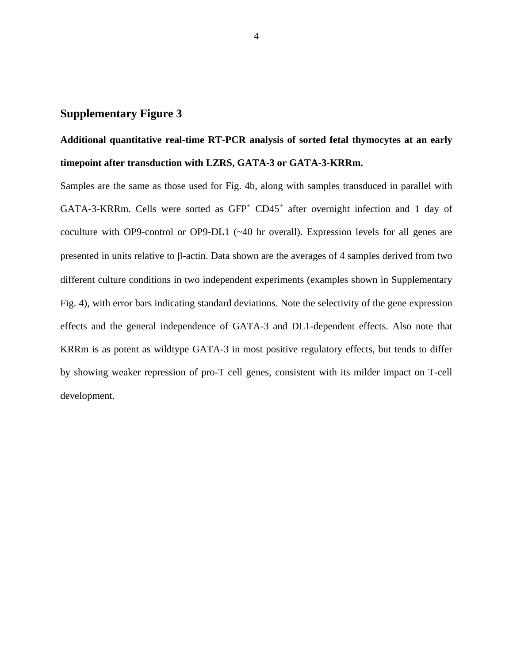## **Additional quantitative real-time RT-PCR analysis of sorted fetal thymocytes at an early timepoint after transduction with LZRS, GATA-3 or GATA-3-KRRm.**

Samples are the same as those used for Fig. 4b, along with samples transduced in parallel with GATA-3-KRRm. Cells were sorted as  $GFP<sup>+</sup> CD45<sup>+</sup>$  after overnight infection and 1 day of coculture with OP9-control or OP9-DL1 (~40 hr overall). Expression levels for all genes are presented in units relative to β-actin. Data shown are the averages of 4 samples derived from two different culture conditions in two independent experiments (examples shown in Supplementary Fig. 4), with error bars indicating standard deviations. Note the selectivity of the gene expression effects and the general independence of GATA-3 and DL1-dependent effects. Also note that KRRm is as potent as wildtype GATA-3 in most positive regulatory effects, but tends to differ by showing weaker repression of pro-T cell genes, consistent with its milder impact on T-cell development.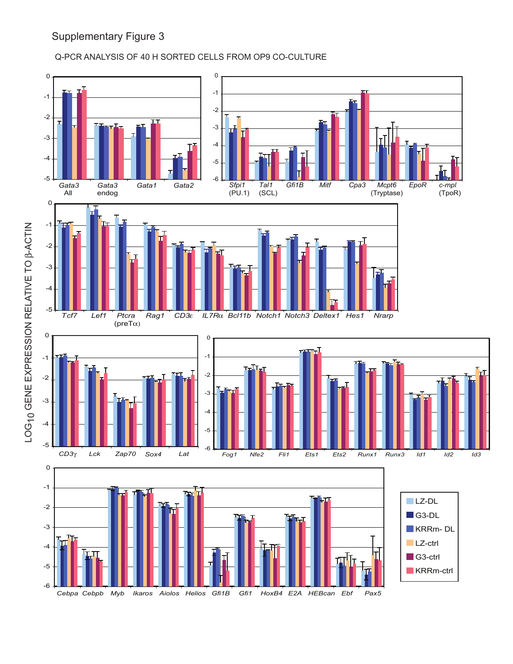### Q-PCR ANALYSIS OF 40 H SORTED CELLS FROM OP9 CO-CULTURE

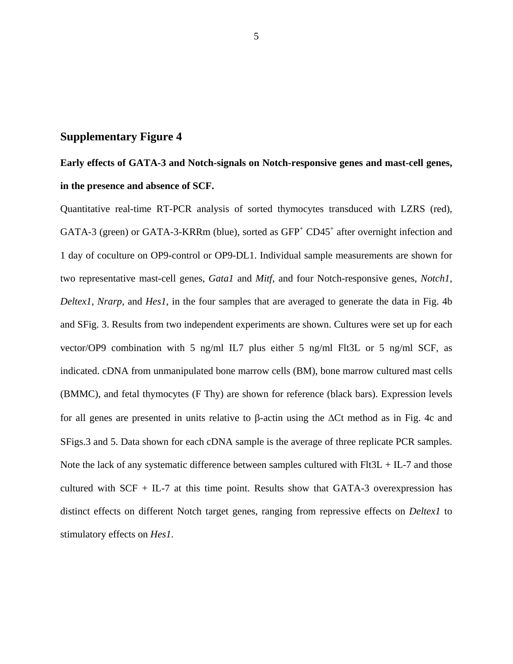## **Early effects of GATA-3 and Notch-signals on Notch-responsive genes and mast-cell genes, in the presence and absence of SCF.**

Quantitative real-time RT-PCR analysis of sorted thymocytes transduced with LZRS (red), GATA-3 (green) or GATA-3-KRRm (blue), sorted as  $GFP<sup>+</sup> CD45<sup>+</sup>$  after overnight infection and 1 day of coculture on OP9-control or OP9-DL1. Individual sample measurements are shown for two representative mast-cell genes, *Gata1* and *Mitf*, and four Notch-responsive genes, *Notch1, Deltex1, Nrarp,* and *Hes1*, in the four samples that are averaged to generate the data in Fig. 4b and SFig. 3. Results from two independent experiments are shown. Cultures were set up for each vector/OP9 combination with 5 ng/ml IL7 plus either 5 ng/ml Flt3L or 5 ng/ml SCF, as indicated. cDNA from unmanipulated bone marrow cells (BM), bone marrow cultured mast cells (BMMC), and fetal thymocytes (F Thy) are shown for reference (black bars). Expression levels for all genes are presented in units relative to β-actin using the ∆Ct method as in Fig. 4c and SFigs.3 and 5. Data shown for each cDNA sample is the average of three replicate PCR samples. Note the lack of any systematic difference between samples cultured with  $F1t3L + IL-7$  and those cultured with  $SCF + IL-7$  at this time point. Results show that GATA-3 overexpression has distinct effects on different Notch target genes, ranging from repressive effects on *Deltex1* to stimulatory effects on *Hes1*.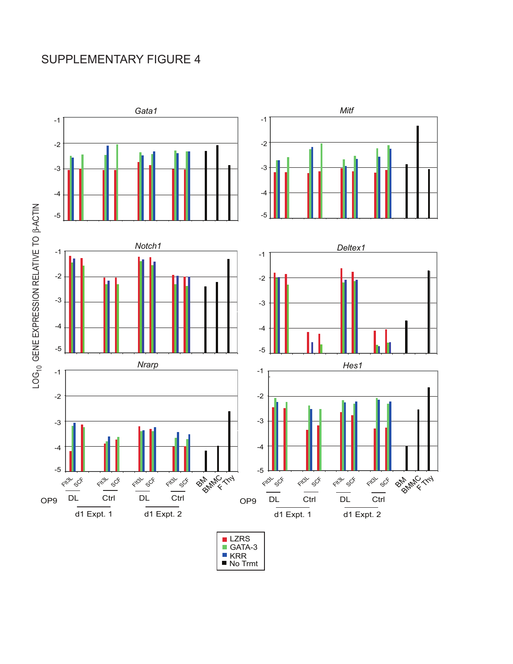## SUPPLEMENTARY FIGURE 4



No Trmt KRR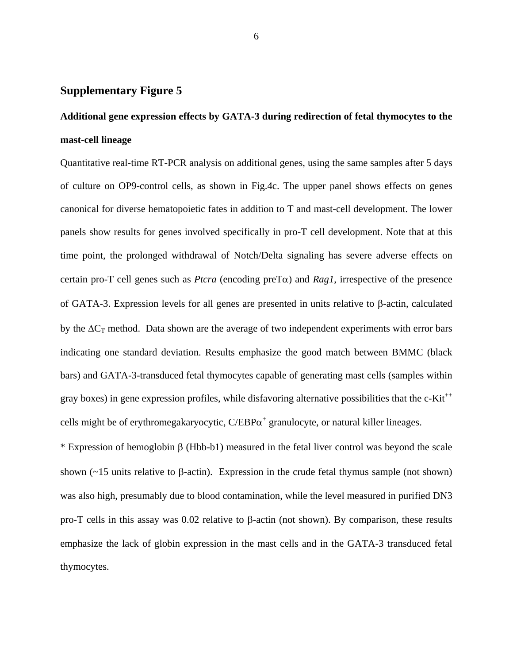## **Additional gene expression effects by GATA-3 during redirection of fetal thymocytes to the mast-cell lineage**

Quantitative real-time RT-PCR analysis on additional genes, using the same samples after 5 days of culture on OP9-control cells, as shown in Fig.4c. The upper panel shows effects on genes canonical for diverse hematopoietic fates in addition to T and mast-cell development. The lower panels show results for genes involved specifically in pro-T cell development. Note that at this time point, the prolonged withdrawal of Notch/Delta signaling has severe adverse effects on certain pro-T cell genes such as *Ptcra* (encoding preTα) and *Rag1*, irrespective of the presence of GATA-3. Expression levels for all genes are presented in units relative to β-actin, calculated by the  $\Delta C_T$  method. Data shown are the average of two independent experiments with error bars indicating one standard deviation. Results emphasize the good match between BMMC (black bars) and GATA-3-transduced fetal thymocytes capable of generating mast cells (samples within gray boxes) in gene expression profiles, while disfavoring alternative possibilities that the c-Kit<sup>++</sup> cells might be of erythromegakaryocytic,  $C/EBP\alpha^+$  granulocyte, or natural killer lineages.

\* Expression of hemoglobin β (Hbb-b1) measured in the fetal liver control was beyond the scale shown ( $\sim$ 15 units relative to β-actin). Expression in the crude fetal thymus sample (not shown) was also high, presumably due to blood contamination, while the level measured in purified DN3 pro-T cells in this assay was 0.02 relative to β-actin (not shown). By comparison, these results emphasize the lack of globin expression in the mast cells and in the GATA-3 transduced fetal thymocytes.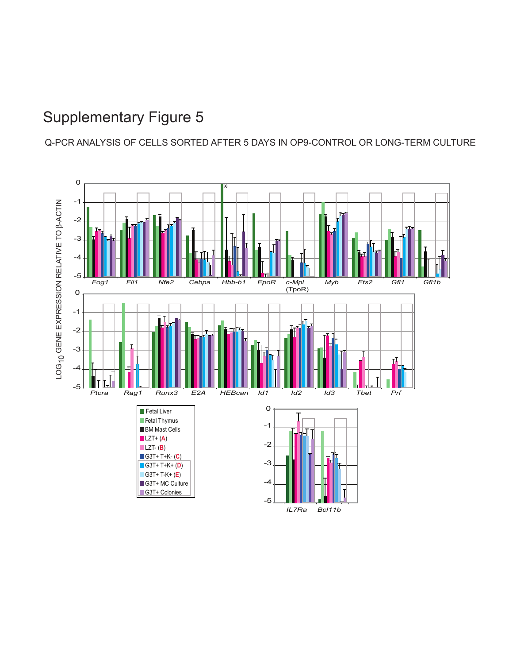Q-PCR ANALYSIS OF CELLS SORTED AFTER 5 DAYS IN OP9-CONTROL OR LONG-TERM CULTURE